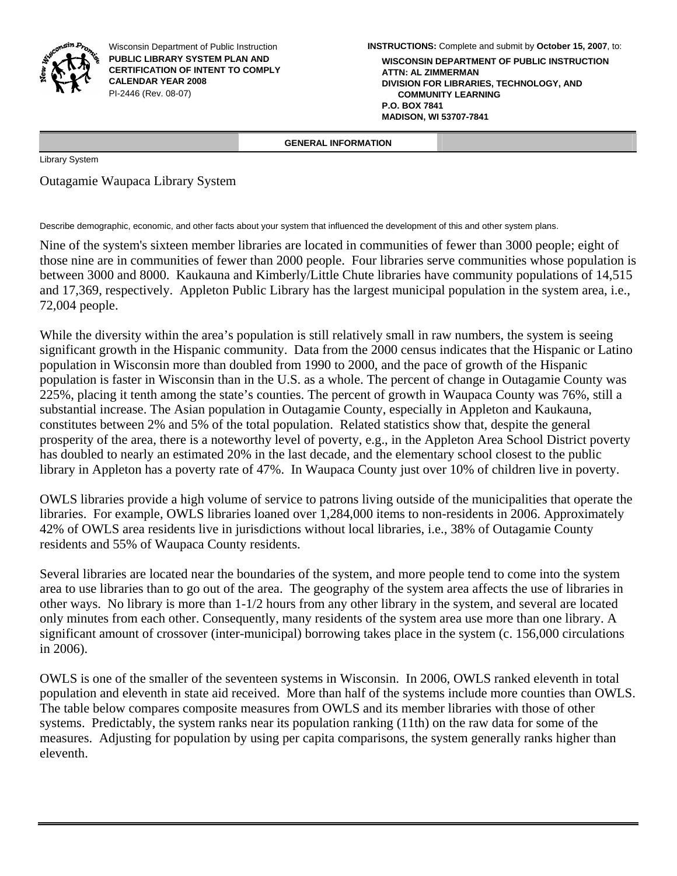

Wisconsin Department of Public Instruction **PUBLIC LIBRARY SYSTEM PLAN AND CERTIFICATION OF INTENT TO COMPLY CALENDAR YEAR 2008**  PI-2446 (Rev. 08-07)

**WISCONSIN DEPARTMENT OF PUBLIC INSTRUCTION ATTN: AL ZIMMERMAN DIVISION FOR LIBRARIES, TECHNOLOGY, AND COMMUNITY LEARNING P.O. BOX 7841 MADISON, WI 53707-7841**

**GENERAL INFORMATION**

Library System

Outagamie Waupaca Library System

Describe demographic, economic, and other facts about your system that influenced the development of this and other system plans.

Nine of the system's sixteen member libraries are located in communities of fewer than 3000 people; eight of those nine are in communities of fewer than 2000 people. Four libraries serve communities whose population is between 3000 and 8000. Kaukauna and Kimberly/Little Chute libraries have community populations of 14,515 and 17,369, respectively. Appleton Public Library has the largest municipal population in the system area, i.e., 72,004 people.

While the diversity within the area's population is still relatively small in raw numbers, the system is seeing significant growth in the Hispanic community. Data from the 2000 census indicates that the Hispanic or Latino population in Wisconsin more than doubled from 1990 to 2000, and the pace of growth of the Hispanic population is faster in Wisconsin than in the U.S. as a whole. The percent of change in Outagamie County was 225%, placing it tenth among the state's counties. The percent of growth in Waupaca County was 76%, still a substantial increase. The Asian population in Outagamie County, especially in Appleton and Kaukauna, constitutes between 2% and 5% of the total population. Related statistics show that, despite the general prosperity of the area, there is a noteworthy level of poverty, e.g., in the Appleton Area School District poverty has doubled to nearly an estimated 20% in the last decade, and the elementary school closest to the public library in Appleton has a poverty rate of 47%. In Waupaca County just over 10% of children live in poverty.

OWLS libraries provide a high volume of service to patrons living outside of the municipalities that operate the libraries. For example, OWLS libraries loaned over 1,284,000 items to non-residents in 2006. Approximately 42% of OWLS area residents live in jurisdictions without local libraries, i.e., 38% of Outagamie County residents and 55% of Waupaca County residents.

Several libraries are located near the boundaries of the system, and more people tend to come into the system area to use libraries than to go out of the area. The geography of the system area affects the use of libraries in other ways. No library is more than 1-1/2 hours from any other library in the system, and several are located only minutes from each other. Consequently, many residents of the system area use more than one library. A significant amount of crossover (inter-municipal) borrowing takes place in the system (c. 156,000 circulations in 2006).

OWLS is one of the smaller of the seventeen systems in Wisconsin. In 2006, OWLS ranked eleventh in total population and eleventh in state aid received. More than half of the systems include more counties than OWLS. The table below compares composite measures from OWLS and its member libraries with those of other systems. Predictably, the system ranks near its population ranking (11th) on the raw data for some of the measures. Adjusting for population by using per capita comparisons, the system generally ranks higher than eleventh.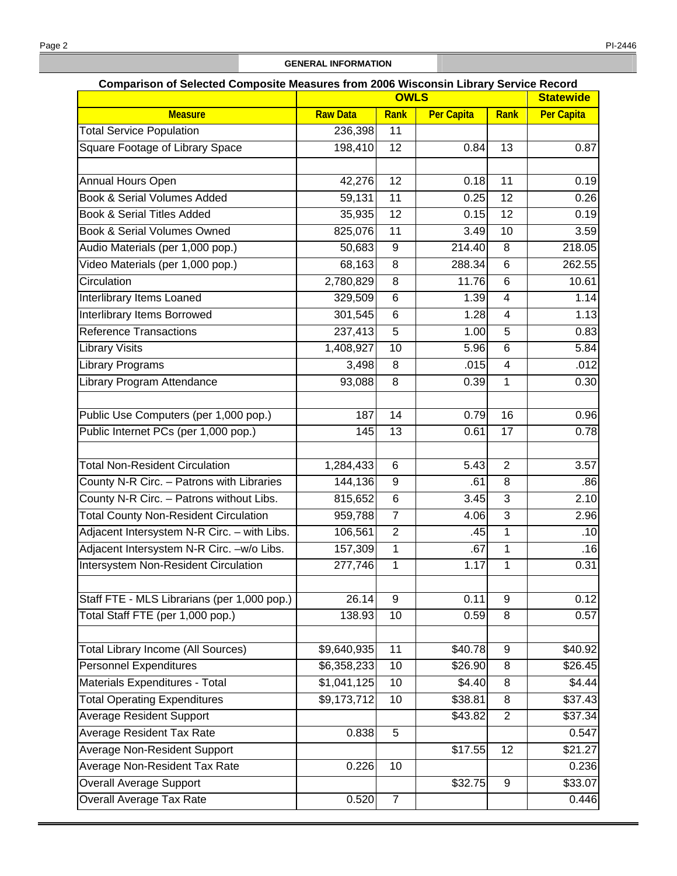|                                              | <b>Comparison of Selected Composite Measures from 2006 Wisconsin Library Service Record</b><br><b>OWLS</b> |                |                   |                         | <b>Statewide</b> |
|----------------------------------------------|------------------------------------------------------------------------------------------------------------|----------------|-------------------|-------------------------|------------------|
| <b>Measure</b>                               | <b>Raw Data</b>                                                                                            | <b>Rank</b>    | <b>Per Capita</b> | Rank                    | Per Capita       |
| <b>Total Service Population</b>              | 236,398                                                                                                    | 11             |                   |                         |                  |
| Square Footage of Library Space              | 198,410                                                                                                    | 12             | 0.84              | 13                      | 0.87             |
|                                              |                                                                                                            |                |                   |                         |                  |
| Annual Hours Open                            | 42,276                                                                                                     | 12             | 0.18              | 11                      | 0.19             |
| Book & Serial Volumes Added                  | 59,131                                                                                                     | 11             | 0.25              | $\overline{12}$         | 0.26             |
| Book & Serial Titles Added                   | 35,935                                                                                                     | 12             | 0.15              | 12                      | 0.19             |
| Book & Serial Volumes Owned                  | 825,076                                                                                                    | 11             | 3.49              | 10                      | 3.59             |
| Audio Materials (per 1,000 pop.)             | 50,683                                                                                                     | 9              | 214.40            | 8                       | 218.05           |
| Video Materials (per 1,000 pop.)             | 68,163                                                                                                     | 8              | 288.34            | 6                       | 262.55           |
| Circulation                                  | 2,780,829                                                                                                  | 8              | 11.76             | 6                       | 10.61            |
| <b>Interlibrary Items Loaned</b>             | 329,509                                                                                                    | 6              | 1.39              | $\overline{4}$          | 1.14             |
| <b>Interlibrary Items Borrowed</b>           | 301,545                                                                                                    | 6              | 1.28              | $\overline{4}$          | 1.13             |
| <b>Reference Transactions</b>                | 237,413                                                                                                    | 5              | 1.00              | $\overline{5}$          | 0.83             |
| <b>Library Visits</b>                        | 1,408,927                                                                                                  | 10             | 5.96              | 6                       | 5.84             |
| <b>Library Programs</b>                      | 3,498                                                                                                      | 8              | .015              | $\overline{\mathbf{4}}$ | .012             |
| Library Program Attendance                   | 93,088                                                                                                     | 8              | 0.39              | $\mathbf{1}$            | 0.30             |
|                                              |                                                                                                            |                |                   |                         |                  |
| Public Use Computers (per 1,000 pop.)        | 187                                                                                                        | 14             | 0.79              | 16                      | 0.96             |
| Public Internet PCs (per 1,000 pop.)         | 145                                                                                                        | 13             | 0.61              | 17                      | 0.78             |
|                                              |                                                                                                            |                |                   |                         |                  |
| <b>Total Non-Resident Circulation</b>        | 1,284,433                                                                                                  | 6              | 5.43              | $\overline{c}$          | 3.57             |
| County N-R Circ. - Patrons with Libraries    | 144,136                                                                                                    | 9              | .61               | $\overline{8}$          | .86              |
| County N-R Circ. - Patrons without Libs.     | 815,652                                                                                                    | 6              | 3.45              | 3                       | 2.10             |
| <b>Total County Non-Resident Circulation</b> | 959,788                                                                                                    | $\overline{7}$ | 4.06              | $\overline{3}$          | 2.96             |
| Adjacent Intersystem N-R Circ. - with Libs.  | 106,561                                                                                                    | $\overline{2}$ | .45               | 1                       | .10              |
| Adjacent Intersystem N-R Circ. - w/o Libs.   | 157,309                                                                                                    | $\mathbf{1}$   | .67               | $\mathbf{1}$            | .16              |
| Intersystem Non-Resident Circulation         | 277,746                                                                                                    | $\overline{1}$ | 1.17              | $\overline{1}$          | 0.31             |
|                                              |                                                                                                            |                |                   |                         |                  |
| Staff FTE - MLS Librarians (per 1,000 pop.)  | 26.14                                                                                                      | 9              | 0.11              | 9                       | 0.12             |
| Total Staff FTE (per 1,000 pop.)             | 138.93                                                                                                     | 10             | 0.59              | 8                       | 0.57             |
|                                              |                                                                                                            |                |                   |                         |                  |
| <b>Total Library Income (All Sources)</b>    | \$9,640,935                                                                                                | 11             | \$40.78           | 9                       | \$40.92          |
| <b>Personnel Expenditures</b>                | \$6,358,233                                                                                                | 10             | \$26.90           | 8                       | \$26.45          |
| Materials Expenditures - Total               | \$1,041,125                                                                                                | 10             | \$4.40            | 8                       | \$4.44           |
| <b>Total Operating Expenditures</b>          | \$9,173,712                                                                                                | 10             | \$38.81           | 8                       | \$37.43          |
| <b>Average Resident Support</b>              |                                                                                                            |                | \$43.82           | $\overline{2}$          | \$37.34          |
| <b>Average Resident Tax Rate</b>             | 0.838                                                                                                      | 5              |                   |                         | 0.547            |
| <b>Average Non-Resident Support</b>          |                                                                                                            |                | \$17.55           | 12                      | \$21.27          |
| Average Non-Resident Tax Rate                | 0.226                                                                                                      | 10             |                   |                         | 0.236            |
| <b>Overall Average Support</b>               |                                                                                                            |                | \$32.75           | 9                       | \$33.07          |
| Overall Average Tax Rate                     | 0.520                                                                                                      | $\overline{7}$ |                   |                         | 0.446            |
|                                              |                                                                                                            |                |                   |                         |                  |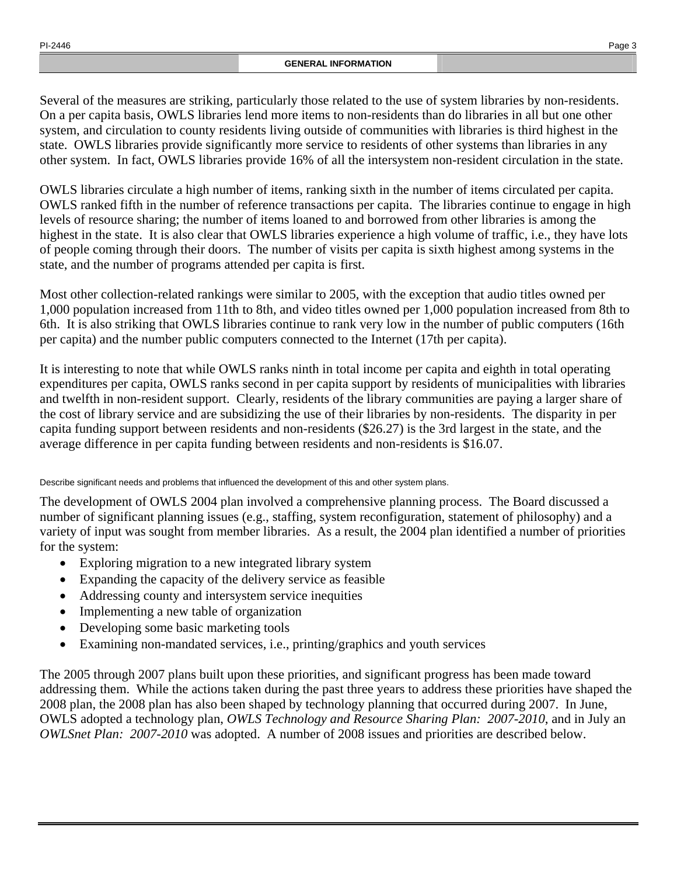Several of the measures are striking, particularly those related to the use of system libraries by non-residents. On a per capita basis, OWLS libraries lend more items to non-residents than do libraries in all but one other system, and circulation to county residents living outside of communities with libraries is third highest in the state. OWLS libraries provide significantly more service to residents of other systems than libraries in any other system. In fact, OWLS libraries provide 16% of all the intersystem non-resident circulation in the state.

OWLS libraries circulate a high number of items, ranking sixth in the number of items circulated per capita. OWLS ranked fifth in the number of reference transactions per capita. The libraries continue to engage in high levels of resource sharing; the number of items loaned to and borrowed from other libraries is among the highest in the state. It is also clear that OWLS libraries experience a high volume of traffic, i.e., they have lots of people coming through their doors. The number of visits per capita is sixth highest among systems in the state, and the number of programs attended per capita is first.

Most other collection-related rankings were similar to 2005, with the exception that audio titles owned per 1,000 population increased from 11th to 8th, and video titles owned per 1,000 population increased from 8th to 6th. It is also striking that OWLS libraries continue to rank very low in the number of public computers (16th per capita) and the number public computers connected to the Internet (17th per capita).

It is interesting to note that while OWLS ranks ninth in total income per capita and eighth in total operating expenditures per capita, OWLS ranks second in per capita support by residents of municipalities with libraries and twelfth in non-resident support. Clearly, residents of the library communities are paying a larger share of the cost of library service and are subsidizing the use of their libraries by non-residents. The disparity in per capita funding support between residents and non-residents (\$26.27) is the 3rd largest in the state, and the average difference in per capita funding between residents and non-residents is \$16.07.

## Describe significant needs and problems that influenced the development of this and other system plans.

The development of OWLS 2004 plan involved a comprehensive planning process. The Board discussed a number of significant planning issues (e.g., staffing, system reconfiguration, statement of philosophy) and a variety of input was sought from member libraries. As a result, the 2004 plan identified a number of priorities for the system:

- Exploring migration to a new integrated library system
- Expanding the capacity of the delivery service as feasible
- Addressing county and intersystem service inequities
- Implementing a new table of organization
- Developing some basic marketing tools
- Examining non-mandated services, i.e., printing/graphics and youth services

The 2005 through 2007 plans built upon these priorities, and significant progress has been made toward addressing them. While the actions taken during the past three years to address these priorities have shaped the 2008 plan, the 2008 plan has also been shaped by technology planning that occurred during 2007. In June, OWLS adopted a technology plan, *OWLS Technology and Resource Sharing Plan: 2007-2010*, and in July an *OWLSnet Plan: 2007-2010* was adopted. A number of 2008 issues and priorities are described below.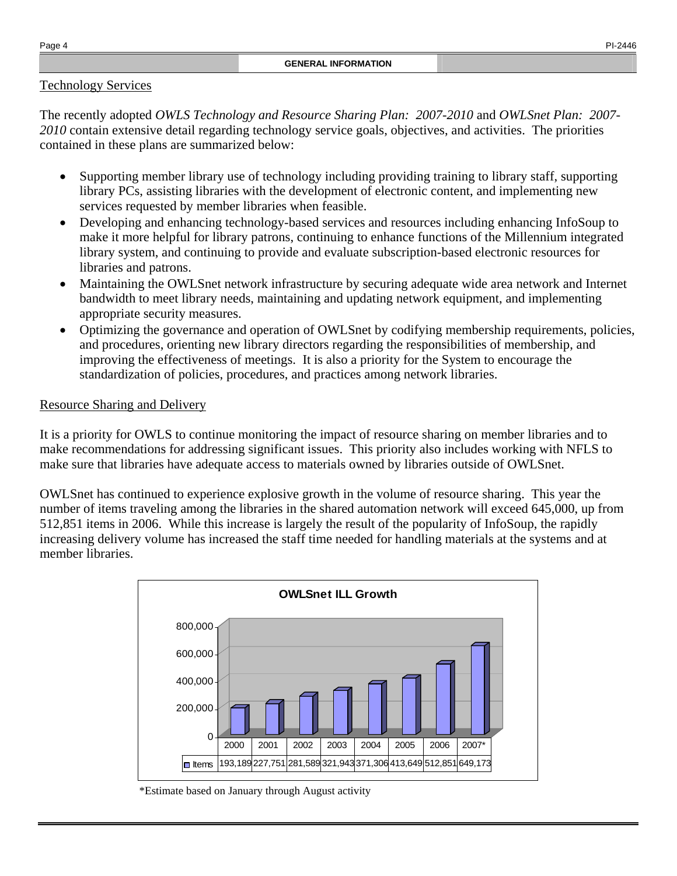# Technology Services

The recently adopted *OWLS Technology and Resource Sharing Plan: 2007-2010* and *OWLSnet Plan: 2007- 2010* contain extensive detail regarding technology service goals, objectives, and activities. The priorities contained in these plans are summarized below:

 **GENERAL INFORMATION** 

- Supporting member library use of technology including providing training to library staff, supporting library PCs, assisting libraries with the development of electronic content, and implementing new services requested by member libraries when feasible.
- Developing and enhancing technology-based services and resources including enhancing InfoSoup to make it more helpful for library patrons, continuing to enhance functions of the Millennium integrated library system, and continuing to provide and evaluate subscription-based electronic resources for libraries and patrons.
- Maintaining the OWLSnet network infrastructure by securing adequate wide area network and Internet bandwidth to meet library needs, maintaining and updating network equipment, and implementing appropriate security measures.
- Optimizing the governance and operation of OWLSnet by codifying membership requirements, policies, and procedures, orienting new library directors regarding the responsibilities of membership, and improving the effectiveness of meetings. It is also a priority for the System to encourage the standardization of policies, procedures, and practices among network libraries.

# Resource Sharing and Delivery

It is a priority for OWLS to continue monitoring the impact of resource sharing on member libraries and to make recommendations for addressing significant issues. This priority also includes working with NFLS to make sure that libraries have adequate access to materials owned by libraries outside of OWLSnet.

OWLSnet has continued to experience explosive growth in the volume of resource sharing. This year the number of items traveling among the libraries in the shared automation network will exceed 645,000, up from 512,851 items in 2006. While this increase is largely the result of the popularity of InfoSoup, the rapidly increasing delivery volume has increased the staff time needed for handling materials at the systems and at member libraries.



\*Estimate based on January through August activity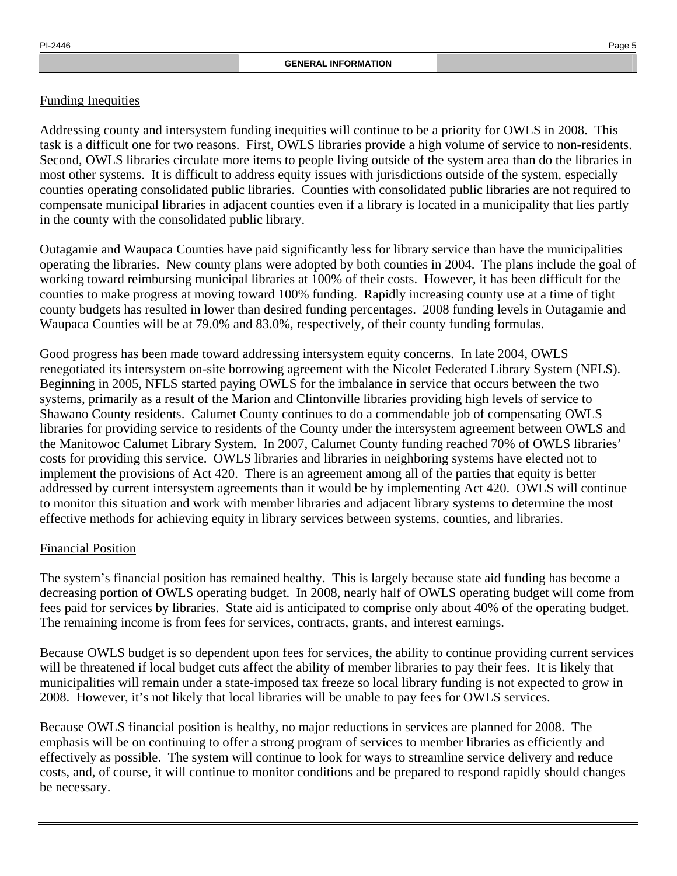# Funding Inequities

Addressing county and intersystem funding inequities will continue to be a priority for OWLS in 2008. This task is a difficult one for two reasons. First, OWLS libraries provide a high volume of service to non-residents. Second, OWLS libraries circulate more items to people living outside of the system area than do the libraries in most other systems. It is difficult to address equity issues with jurisdictions outside of the system, especially counties operating consolidated public libraries. Counties with consolidated public libraries are not required to compensate municipal libraries in adjacent counties even if a library is located in a municipality that lies partly in the county with the consolidated public library.

Outagamie and Waupaca Counties have paid significantly less for library service than have the municipalities operating the libraries. New county plans were adopted by both counties in 2004. The plans include the goal of working toward reimbursing municipal libraries at 100% of their costs. However, it has been difficult for the counties to make progress at moving toward 100% funding. Rapidly increasing county use at a time of tight county budgets has resulted in lower than desired funding percentages. 2008 funding levels in Outagamie and Waupaca Counties will be at 79.0% and 83.0%, respectively, of their county funding formulas.

Good progress has been made toward addressing intersystem equity concerns. In late 2004, OWLS renegotiated its intersystem on-site borrowing agreement with the Nicolet Federated Library System (NFLS). Beginning in 2005, NFLS started paying OWLS for the imbalance in service that occurs between the two systems, primarily as a result of the Marion and Clintonville libraries providing high levels of service to Shawano County residents. Calumet County continues to do a commendable job of compensating OWLS libraries for providing service to residents of the County under the intersystem agreement between OWLS and the Manitowoc Calumet Library System. In 2007, Calumet County funding reached 70% of OWLS libraries' costs for providing this service. OWLS libraries and libraries in neighboring systems have elected not to implement the provisions of Act 420. There is an agreement among all of the parties that equity is better addressed by current intersystem agreements than it would be by implementing Act 420. OWLS will continue to monitor this situation and work with member libraries and adjacent library systems to determine the most effective methods for achieving equity in library services between systems, counties, and libraries.

## Financial Position

The system's financial position has remained healthy. This is largely because state aid funding has become a decreasing portion of OWLS operating budget. In 2008, nearly half of OWLS operating budget will come from fees paid for services by libraries. State aid is anticipated to comprise only about 40% of the operating budget. The remaining income is from fees for services, contracts, grants, and interest earnings.

Because OWLS budget is so dependent upon fees for services, the ability to continue providing current services will be threatened if local budget cuts affect the ability of member libraries to pay their fees. It is likely that municipalities will remain under a state-imposed tax freeze so local library funding is not expected to grow in 2008. However, it's not likely that local libraries will be unable to pay fees for OWLS services.

Because OWLS financial position is healthy, no major reductions in services are planned for 2008. The emphasis will be on continuing to offer a strong program of services to member libraries as efficiently and effectively as possible. The system will continue to look for ways to streamline service delivery and reduce costs, and, of course, it will continue to monitor conditions and be prepared to respond rapidly should changes be necessary.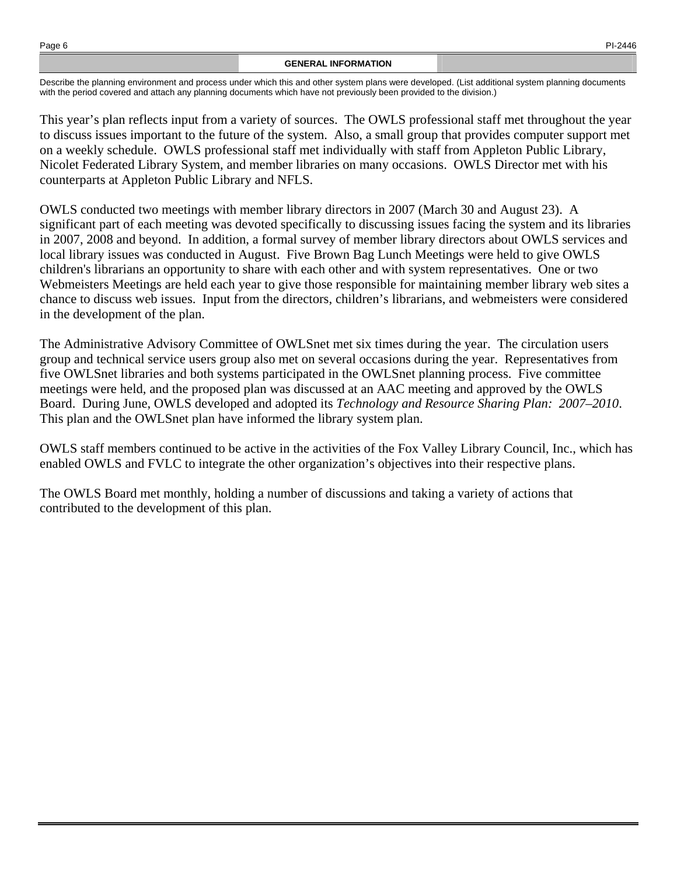### **GENERAL INFORMATION**

Describe the planning environment and process under which this and other system plans were developed. (List additional system planning documents with the period covered and attach any planning documents which have not previously been provided to the division.)

This year's plan reflects input from a variety of sources. The OWLS professional staff met throughout the year to discuss issues important to the future of the system. Also, a small group that provides computer support met on a weekly schedule. OWLS professional staff met individually with staff from Appleton Public Library, Nicolet Federated Library System, and member libraries on many occasions. OWLS Director met with his counterparts at Appleton Public Library and NFLS.

OWLS conducted two meetings with member library directors in 2007 (March 30 and August 23). A significant part of each meeting was devoted specifically to discussing issues facing the system and its libraries in 2007, 2008 and beyond. In addition, a formal survey of member library directors about OWLS services and local library issues was conducted in August. Five Brown Bag Lunch Meetings were held to give OWLS children's librarians an opportunity to share with each other and with system representatives. One or two Webmeisters Meetings are held each year to give those responsible for maintaining member library web sites a chance to discuss web issues. Input from the directors, children's librarians, and webmeisters were considered in the development of the plan.

The Administrative Advisory Committee of OWLSnet met six times during the year. The circulation users group and technical service users group also met on several occasions during the year. Representatives from five OWLSnet libraries and both systems participated in the OWLSnet planning process. Five committee meetings were held, and the proposed plan was discussed at an AAC meeting and approved by the OWLS Board. During June, OWLS developed and adopted its *Technology and Resource Sharing Plan: 2007–2010*. This plan and the OWLSnet plan have informed the library system plan.

OWLS staff members continued to be active in the activities of the Fox Valley Library Council, Inc., which has enabled OWLS and FVLC to integrate the other organization's objectives into their respective plans.

The OWLS Board met monthly, holding a number of discussions and taking a variety of actions that contributed to the development of this plan.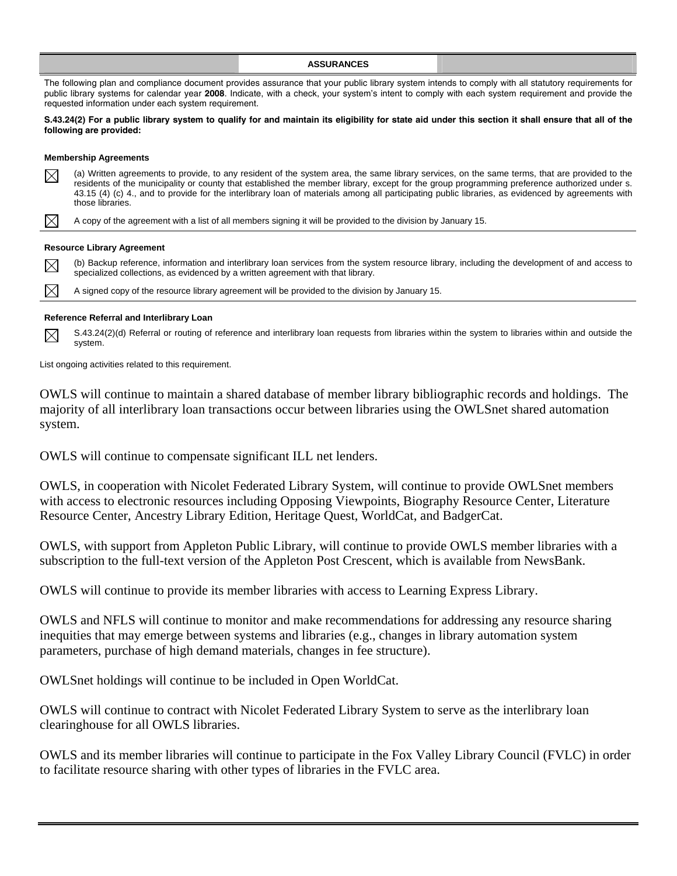|             | <b>ASSURANCES</b>                                                                                                                                                                                                                                                                                                                                                                                                                                                      |
|-------------|------------------------------------------------------------------------------------------------------------------------------------------------------------------------------------------------------------------------------------------------------------------------------------------------------------------------------------------------------------------------------------------------------------------------------------------------------------------------|
|             | The following plan and compliance document provides assurance that your public library system intends to comply with all statutory requirements for<br>public library systems for calendar year 2008. Indicate, with a check, your system's intent to comply with each system requirement and provide the<br>requested information under each system requirement.                                                                                                      |
|             | S.43.24(2) For a public library system to qualify for and maintain its eligibility for state aid under this section it shall ensure that all of the<br>following are provided:                                                                                                                                                                                                                                                                                         |
|             | <b>Membership Agreements</b>                                                                                                                                                                                                                                                                                                                                                                                                                                           |
| $\boxtimes$ | (a) Written agreements to provide, to any resident of the system area, the same library services, on the same terms, that are provided to the<br>residents of the municipality or county that established the member library, except for the group programming preference authorized under s.<br>43.15 (4) (c) 4., and to provide for the interlibrary loan of materials among all participating public libraries, as evidenced by agreements with<br>those libraries. |
| $\boxtimes$ | A copy of the agreement with a list of all members signing it will be provided to the division by January 15.                                                                                                                                                                                                                                                                                                                                                          |
|             | <b>Resource Library Agreement</b>                                                                                                                                                                                                                                                                                                                                                                                                                                      |
| $\boxtimes$ | (b) Backup reference, information and interlibrary loan services from the system resource library, including the development of and access to<br>specialized collections, as evidenced by a written agreement with that library.                                                                                                                                                                                                                                       |
| $\boxtimes$ | A signed copy of the resource library agreement will be provided to the division by January 15.                                                                                                                                                                                                                                                                                                                                                                        |
|             | Reference Referral and Interlibrary Loan                                                                                                                                                                                                                                                                                                                                                                                                                               |

S.43.24(2)(d) Referral or routing of reference and interlibrary loan requests from libraries within the system to libraries within and outside the  $\boxtimes$ system.

List ongoing activities related to this requirement.

OWLS will continue to maintain a shared database of member library bibliographic records and holdings. The majority of all interlibrary loan transactions occur between libraries using the OWLSnet shared automation system.

OWLS will continue to compensate significant ILL net lenders.

OWLS, in cooperation with Nicolet Federated Library System, will continue to provide OWLSnet members with access to electronic resources including Opposing Viewpoints, Biography Resource Center, Literature Resource Center, Ancestry Library Edition, Heritage Quest, WorldCat, and BadgerCat.

OWLS, with support from Appleton Public Library, will continue to provide OWLS member libraries with a subscription to the full-text version of the Appleton Post Crescent, which is available from NewsBank.

OWLS will continue to provide its member libraries with access to Learning Express Library.

OWLS and NFLS will continue to monitor and make recommendations for addressing any resource sharing inequities that may emerge between systems and libraries (e.g., changes in library automation system parameters, purchase of high demand materials, changes in fee structure).

OWLSnet holdings will continue to be included in Open WorldCat.

OWLS will continue to contract with Nicolet Federated Library System to serve as the interlibrary loan clearinghouse for all OWLS libraries.

OWLS and its member libraries will continue to participate in the Fox Valley Library Council (FVLC) in order to facilitate resource sharing with other types of libraries in the FVLC area.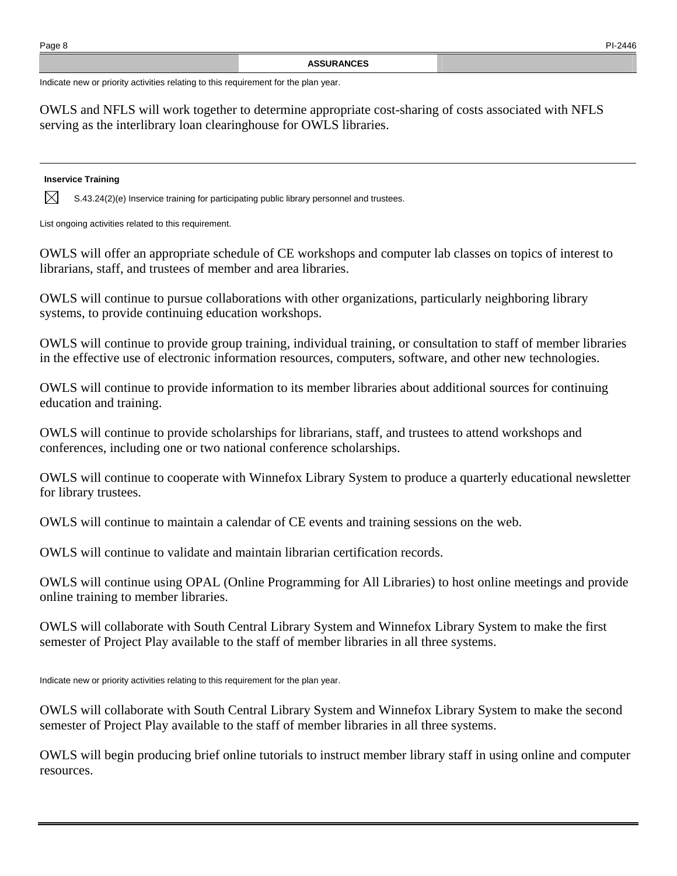Indicate new or priority activities relating to this requirement for the plan year.

OWLS and NFLS will work together to determine appropriate cost-sharing of costs associated with NFLS serving as the interlibrary loan clearinghouse for OWLS libraries.

## **Inservice Training**

 $\boxtimes$ S.43.24(2)(e) Inservice training for participating public library personnel and trustees.

List ongoing activities related to this requirement.

OWLS will offer an appropriate schedule of CE workshops and computer lab classes on topics of interest to librarians, staff, and trustees of member and area libraries.

OWLS will continue to pursue collaborations with other organizations, particularly neighboring library systems, to provide continuing education workshops.

OWLS will continue to provide group training, individual training, or consultation to staff of member libraries in the effective use of electronic information resources, computers, software, and other new technologies.

OWLS will continue to provide information to its member libraries about additional sources for continuing education and training.

OWLS will continue to provide scholarships for librarians, staff, and trustees to attend workshops and conferences, including one or two national conference scholarships.

OWLS will continue to cooperate with Winnefox Library System to produce a quarterly educational newsletter for library trustees.

OWLS will continue to maintain a calendar of CE events and training sessions on the web.

OWLS will continue to validate and maintain librarian certification records.

OWLS will continue using OPAL (Online Programming for All Libraries) to host online meetings and provide online training to member libraries.

OWLS will collaborate with South Central Library System and Winnefox Library System to make the first semester of Project Play available to the staff of member libraries in all three systems.

Indicate new or priority activities relating to this requirement for the plan year.

OWLS will collaborate with South Central Library System and Winnefox Library System to make the second semester of Project Play available to the staff of member libraries in all three systems.

OWLS will begin producing brief online tutorials to instruct member library staff in using online and computer resources.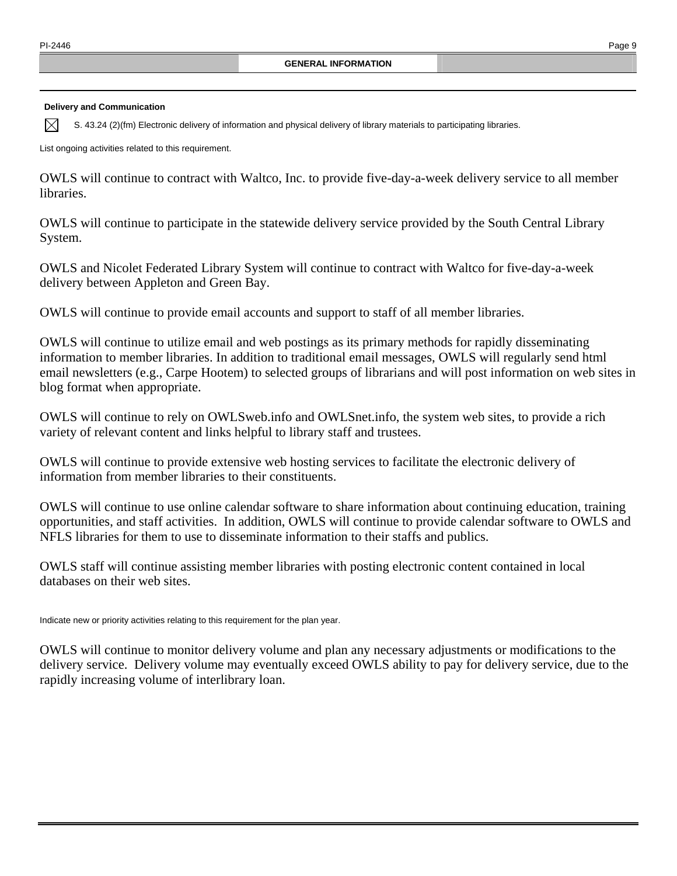#### **Delivery and Communication**

S. 43.24 (2)(fm) Electronic delivery of information and physical delivery of library materials to participating libraries.  $\boxtimes$ 

List ongoing activities related to this requirement.

OWLS will continue to contract with Waltco, Inc. to provide five-day-a-week delivery service to all member libraries.

OWLS will continue to participate in the statewide delivery service provided by the South Central Library System.

OWLS and Nicolet Federated Library System will continue to contract with Waltco for five-day-a-week delivery between Appleton and Green Bay.

OWLS will continue to provide email accounts and support to staff of all member libraries.

OWLS will continue to utilize email and web postings as its primary methods for rapidly disseminating information to member libraries. In addition to traditional email messages, OWLS will regularly send html email newsletters (e.g., Carpe Hootem) to selected groups of librarians and will post information on web sites in blog format when appropriate.

OWLS will continue to rely on OWLSweb.info and OWLSnet.info, the system web sites, to provide a rich variety of relevant content and links helpful to library staff and trustees.

OWLS will continue to provide extensive web hosting services to facilitate the electronic delivery of information from member libraries to their constituents.

OWLS will continue to use online calendar software to share information about continuing education, training opportunities, and staff activities. In addition, OWLS will continue to provide calendar software to OWLS and NFLS libraries for them to use to disseminate information to their staffs and publics.

OWLS staff will continue assisting member libraries with posting electronic content contained in local databases on their web sites.

Indicate new or priority activities relating to this requirement for the plan year.

OWLS will continue to monitor delivery volume and plan any necessary adjustments or modifications to the delivery service. Delivery volume may eventually exceed OWLS ability to pay for delivery service, due to the rapidly increasing volume of interlibrary loan.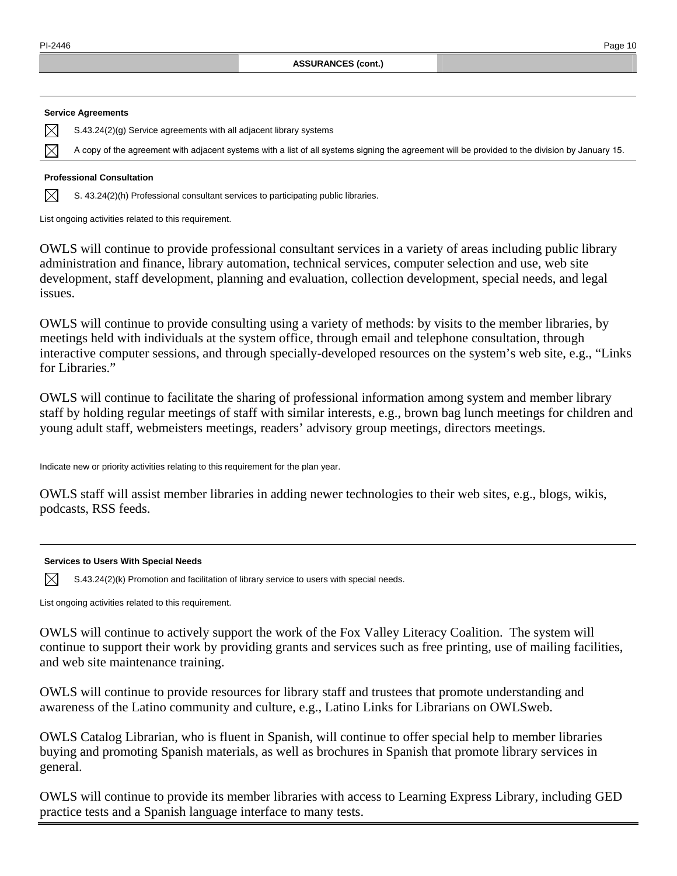$\boxtimes$  $\boxtimes$ 

#### **Service Agreements**

A copy of the agreement with adjacent systems with a list of all systems signing the agreement will be provided to the division by January 15.

## **Professional Consultation**

 $\boxtimes$ S. 43.24(2)(h) Professional consultant services to participating public libraries.

S.43.24(2)(g) Service agreements with all adjacent library systems

List ongoing activities related to this requirement.

OWLS will continue to provide professional consultant services in a variety of areas including public library administration and finance, library automation, technical services, computer selection and use, web site development, staff development, planning and evaluation, collection development, special needs, and legal issues.

OWLS will continue to provide consulting using a variety of methods: by visits to the member libraries, by meetings held with individuals at the system office, through email and telephone consultation, through interactive computer sessions, and through specially-developed resources on the system's web site, e.g., "Links for Libraries."

OWLS will continue to facilitate the sharing of professional information among system and member library staff by holding regular meetings of staff with similar interests, e.g., brown bag lunch meetings for children and young adult staff, webmeisters meetings, readers' advisory group meetings, directors meetings.

Indicate new or priority activities relating to this requirement for the plan year.

OWLS staff will assist member libraries in adding newer technologies to their web sites, e.g., blogs, wikis, podcasts, RSS feeds.

### **Services to Users With Special Needs**

 $\boxtimes$ S.43.24(2)(k) Promotion and facilitation of library service to users with special needs.

List ongoing activities related to this requirement.

OWLS will continue to actively support the work of the Fox Valley Literacy Coalition. The system will continue to support their work by providing grants and services such as free printing, use of mailing facilities, and web site maintenance training.

OWLS will continue to provide resources for library staff and trustees that promote understanding and awareness of the Latino community and culture, e.g., Latino Links for Librarians on OWLSweb.

OWLS Catalog Librarian, who is fluent in Spanish, will continue to offer special help to member libraries buying and promoting Spanish materials, as well as brochures in Spanish that promote library services in general.

OWLS will continue to provide its member libraries with access to Learning Express Library, including GED practice tests and a Spanish language interface to many tests.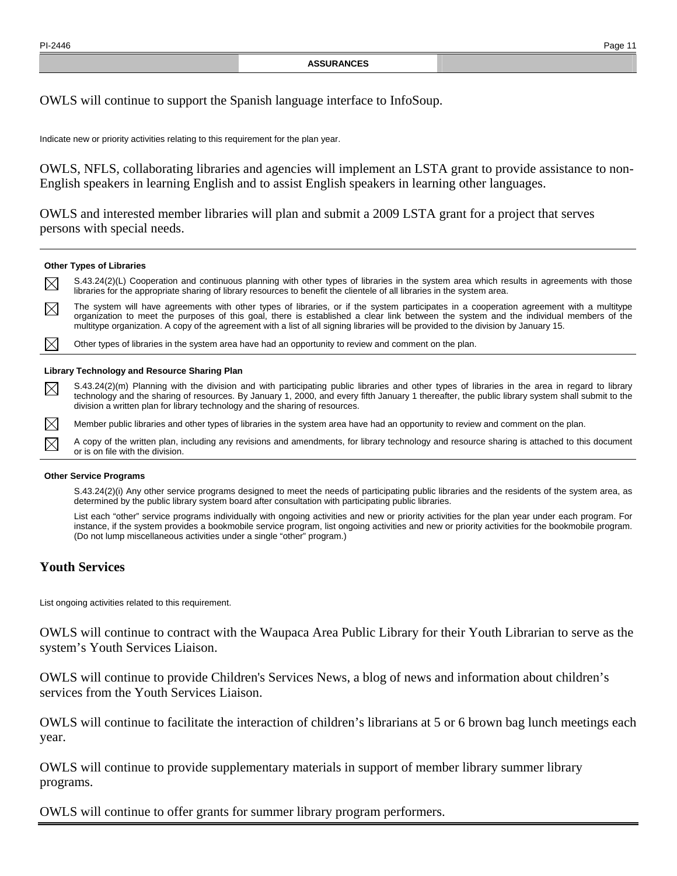OWLS will continue to support the Spanish language interface to InfoSoup.

Indicate new or priority activities relating to this requirement for the plan year.

OWLS, NFLS, collaborating libraries and agencies will implement an LSTA grant to provide assistance to non-English speakers in learning English and to assist English speakers in learning other languages.

OWLS and interested member libraries will plan and submit a 2009 LSTA grant for a project that serves persons with special needs.

#### **Other Types of Libraries**

|    | $\boxtimes$ S.43.24(2)(L) Cooperation and continuous planning with other types of libraries in the system area which results in agreements with those |
|----|-------------------------------------------------------------------------------------------------------------------------------------------------------|
|    | libraries for the appropriate sharing of library resources to benefit the clientele of all libraries in the system area.                              |
| ↖↗ | The evetem will have agreements with other types of libraries, or if the system participates in a cooperation agreement with a multitupe              |

ystem will have agreements with other types of libraries, or if the system pa  $\boxtimes$ organization to meet the purposes of this goal, there is established a clear link between the system and the individual members of the multitype organization. A copy of the agreement with a list of all signing libraries will be provided to the division by January 15.

 $\boxtimes$ Other types of libraries in the system area have had an opportunity to review and comment on the plan.

#### **Library Technology and Resource Sharing Plan**

S.43.24(2)(m) Planning with the division and with participating public libraries and other types of libraries in the area in regard to library  $\boxtimes$ technology and the sharing of resources. By January 1, 2000, and every fifth January 1 thereafter, the public library system shall submit to the division a written plan for library technology and the sharing of resources.

 $\boxtimes$ Member public libraries and other types of libraries in the system area have had an opportunity to review and comment on the plan.

A copy of the written plan, including any revisions and amendments, for library technology and resource sharing is attached to this document  $\boxtimes$ or is on file with the division.

#### **Other Service Programs**

S.43.24(2)(i) Any other service programs designed to meet the needs of participating public libraries and the residents of the system area, as determined by the public library system board after consultation with participating public libraries.

List each "other" service programs individually with ongoing activities and new or priority activities for the plan year under each program. For instance, if the system provides a bookmobile service program, list ongoing activities and new or priority activities for the bookmobile program. (Do not lump miscellaneous activities under a single "other" program.)

## **Youth Services**

List ongoing activities related to this requirement.

OWLS will continue to contract with the Waupaca Area Public Library for their Youth Librarian to serve as the system's Youth Services Liaison.

OWLS will continue to provide Children's Services News, a blog of news and information about children's services from the Youth Services Liaison.

OWLS will continue to facilitate the interaction of children's librarians at 5 or 6 brown bag lunch meetings each year.

OWLS will continue to provide supplementary materials in support of member library summer library programs.

OWLS will continue to offer grants for summer library program performers.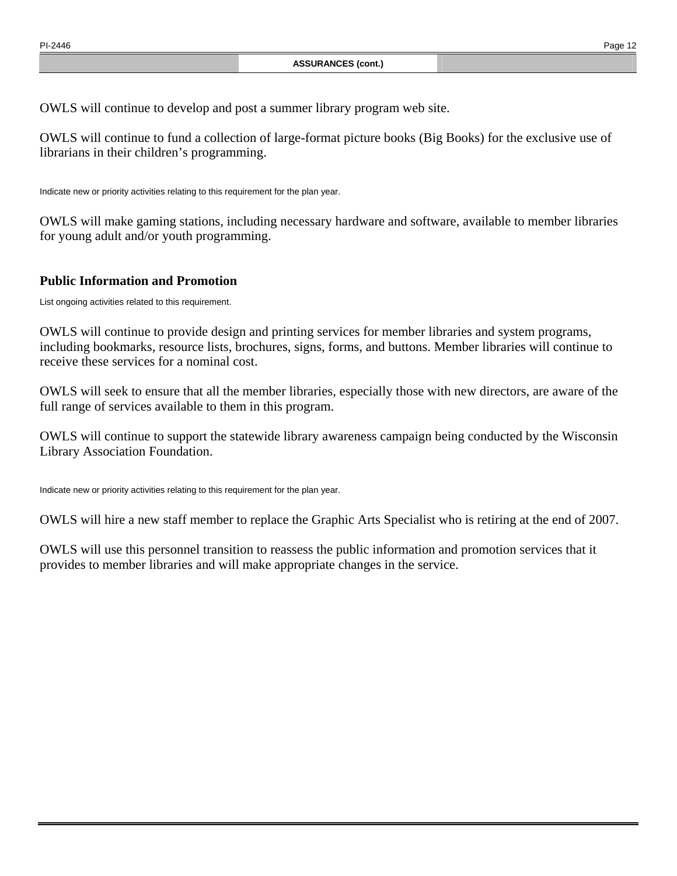OWLS will continue to develop and post a summer library program web site.

OWLS will continue to fund a collection of large-format picture books (Big Books) for the exclusive use of librarians in their children's programming.

Indicate new or priority activities relating to this requirement for the plan year.

OWLS will make gaming stations, including necessary hardware and software, available to member libraries for young adult and/or youth programming.

# **Public Information and Promotion**

List ongoing activities related to this requirement.

OWLS will continue to provide design and printing services for member libraries and system programs, including bookmarks, resource lists, brochures, signs, forms, and buttons. Member libraries will continue to receive these services for a nominal cost.

OWLS will seek to ensure that all the member libraries, especially those with new directors, are aware of the full range of services available to them in this program.

OWLS will continue to support the statewide library awareness campaign being conducted by the Wisconsin Library Association Foundation.

Indicate new or priority activities relating to this requirement for the plan year.

OWLS will hire a new staff member to replace the Graphic Arts Specialist who is retiring at the end of 2007.

OWLS will use this personnel transition to reassess the public information and promotion services that it provides to member libraries and will make appropriate changes in the service.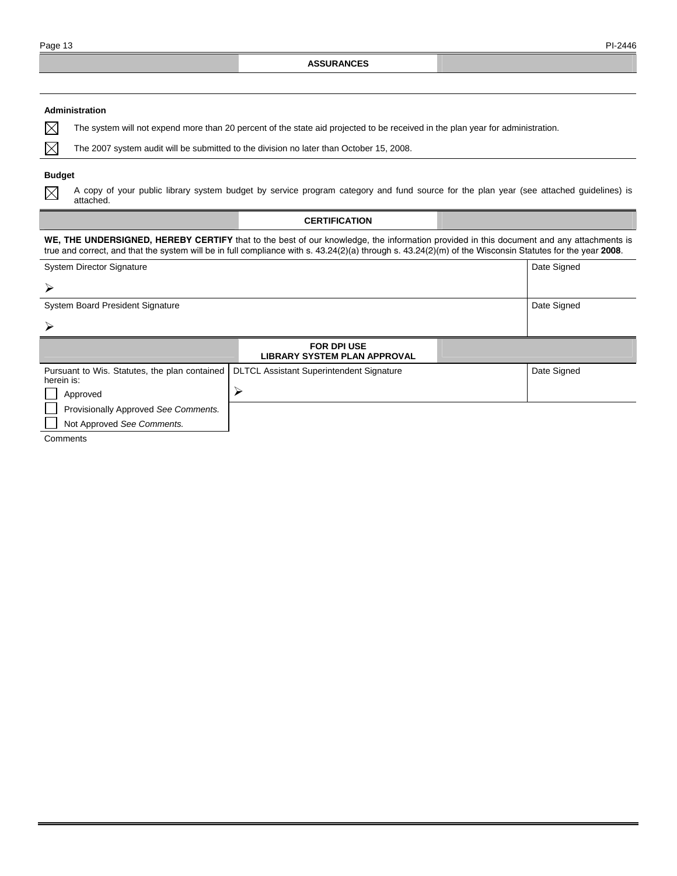#### **Administration**

 $\boxtimes$ The system will not expend more than 20 percent of the state aid projected to be received in the plan year for administration.

The 2007 system audit will be submitted to the division no later than October 15, 2008.

### **Budget**

 $\boxtimes$ 

 $\boxtimes$ 

A copy of your public library system budget by service program category and fund source for the plan year (see attached guidelines) is attached.

#### **CERTIFICATION**

**WE, THE UNDERSIGNED, HEREBY CERTIFY** that to the best of our knowledge, the information provided in this document and any attachments is true and correct, and that the system will be in full compliance with s. 43.24(2)(a) through s. 43.24(2)(m) of the Wisconsin Statutes for the year **2008**.

| <b>System Director Signature</b>                            |                                                           | Date Signed |
|-------------------------------------------------------------|-----------------------------------------------------------|-------------|
| ➤                                                           |                                                           |             |
| <b>System Board President Signature</b>                     |                                                           | Date Signed |
| ≻                                                           |                                                           |             |
|                                                             | <b>FOR DPI USE</b><br><b>LIBRARY SYSTEM PLAN APPROVAL</b> |             |
| Pursuant to Wis. Statutes, the plan contained<br>herein is: | <b>DLTCL Assistant Superintendent Signature</b>           | Date Signed |
| Approved                                                    |                                                           |             |
| Provisionally Approved See Comments.                        |                                                           |             |
| Not Approved See Comments.                                  |                                                           |             |

**Comments**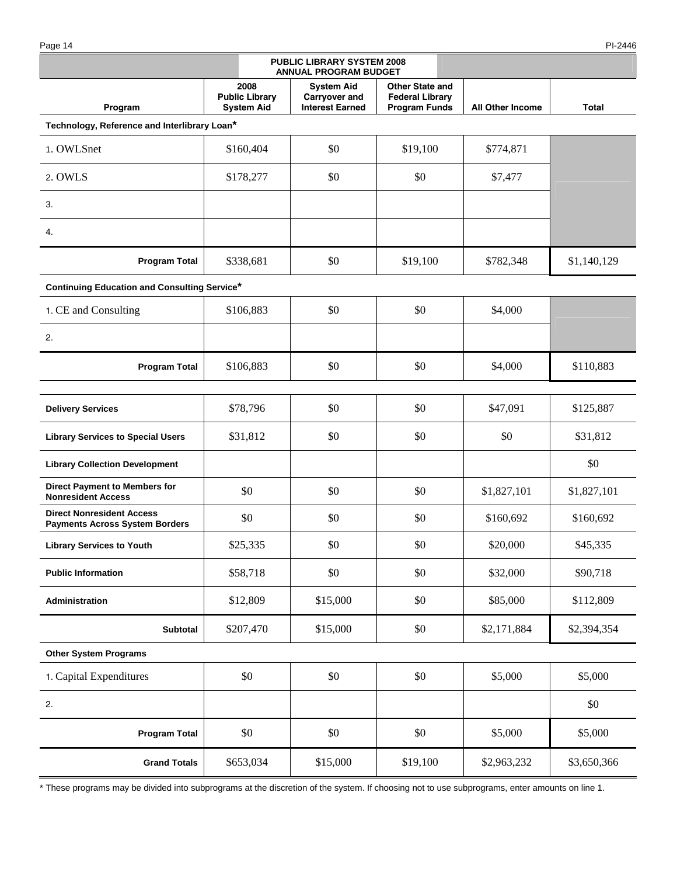Page 14 PI-2446

|                                                                           |                                                    | <b>PUBLIC LIBRARY SYSTEM 2008</b><br><b>ANNUAL PROGRAM BUDGET</b> |                                                                          |                         |              |
|---------------------------------------------------------------------------|----------------------------------------------------|-------------------------------------------------------------------|--------------------------------------------------------------------------|-------------------------|--------------|
| Program                                                                   | 2008<br><b>Public Library</b><br><b>System Aid</b> | <b>System Aid</b><br>Carryover and<br><b>Interest Earned</b>      | <b>Other State and</b><br><b>Federal Library</b><br><b>Program Funds</b> | <b>All Other Income</b> | <b>Total</b> |
| Technology, Reference and Interlibrary Loan*                              |                                                    |                                                                   |                                                                          |                         |              |
| 1. OWLSnet                                                                | \$160,404                                          | \$0                                                               | \$19,100                                                                 | \$774,871               |              |
| 2. OWLS                                                                   | \$178,277                                          | \$0                                                               | \$0                                                                      | \$7,477                 |              |
| 3.                                                                        |                                                    |                                                                   |                                                                          |                         |              |
| 4.                                                                        |                                                    |                                                                   |                                                                          |                         |              |
| <b>Program Total</b>                                                      | \$338,681                                          | \$0                                                               | \$19,100                                                                 | \$782,348               | \$1,140,129  |
| <b>Continuing Education and Consulting Service*</b>                       |                                                    |                                                                   |                                                                          |                         |              |
| 1. CE and Consulting                                                      | \$106,883                                          | \$0                                                               | \$0                                                                      | \$4,000                 |              |
| 2.                                                                        |                                                    |                                                                   |                                                                          |                         |              |
| <b>Program Total</b>                                                      | \$106,883                                          | \$0                                                               | \$0                                                                      | \$4,000                 | \$110,883    |
| <b>Delivery Services</b>                                                  | \$78,796                                           | \$0                                                               | \$0                                                                      | \$47,091                | \$125,887    |
| <b>Library Services to Special Users</b>                                  | \$31,812                                           | \$0                                                               | \$0                                                                      | \$0                     | \$31,812     |
| <b>Library Collection Development</b>                                     |                                                    |                                                                   |                                                                          |                         | \$0          |
| <b>Direct Payment to Members for</b><br><b>Nonresident Access</b>         | \$0                                                | \$0                                                               | \$0                                                                      | \$1,827,101             | \$1,827,101  |
| <b>Direct Nonresident Access</b><br><b>Payments Across System Borders</b> | \$0                                                | \$0                                                               | \$0                                                                      | \$160,692               | \$160,692    |
| <b>Library Services to Youth</b>                                          | \$25,335                                           | \$0                                                               | \$0                                                                      | \$20,000                | \$45,335     |
| <b>Public Information</b>                                                 | \$58,718                                           | \$0                                                               | \$0                                                                      | \$32,000                | \$90,718     |
| Administration                                                            | \$12,809                                           | \$15,000                                                          | \$0                                                                      | \$85,000                | \$112,809    |
| <b>Subtotal</b>                                                           | \$207,470                                          | \$15,000                                                          | \$0                                                                      | \$2,171,884             | \$2,394,354  |
| <b>Other System Programs</b>                                              |                                                    |                                                                   |                                                                          |                         |              |
| 1. Capital Expenditures                                                   | \$0                                                | \$0                                                               | \$0                                                                      | \$5,000                 | \$5,000      |
| 2.                                                                        |                                                    |                                                                   |                                                                          |                         | \$0          |
| <b>Program Total</b>                                                      | \$0                                                | \$0                                                               | \$0                                                                      | \$5,000                 | \$5,000      |
| <b>Grand Totals</b>                                                       | \$653,034                                          | \$15,000                                                          | \$19,100                                                                 | \$2,963,232             | \$3,650,366  |

\* These programs may be divided into subprograms at the discretion of the system. If choosing not to use subprograms, enter amounts on line 1.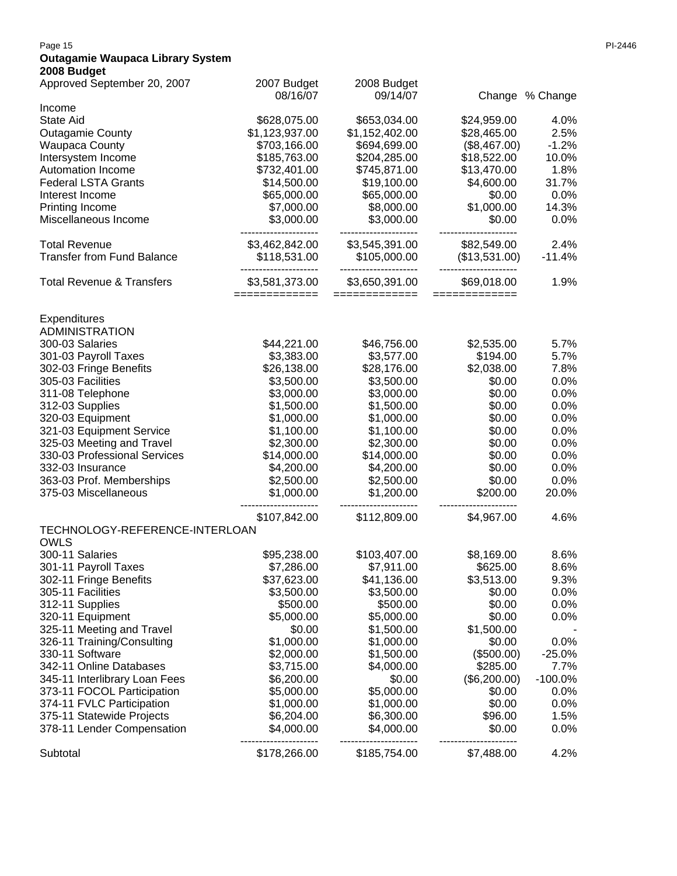Page 15 PI-2446

## **Outagamie Waupaca Library System 2008 Budget**

| Approved September 20, 2007          | 2007 Budget                           | 2008 Budget            |                                  |                 |
|--------------------------------------|---------------------------------------|------------------------|----------------------------------|-----------------|
|                                      | 08/16/07                              | 09/14/07               |                                  | Change % Change |
| Income                               |                                       |                        |                                  |                 |
| State Aid                            | \$628,075.00                          | \$653,034.00           | \$24,959.00                      | 4.0%            |
| <b>Outagamie County</b>              | \$1,123,937.00                        | \$1,152,402.00         | \$28,465.00                      | 2.5%            |
| <b>Waupaca County</b>                | \$703,166.00                          | \$694,699.00           | (\$8,467.00)                     | $-1.2%$         |
| Intersystem Income                   | \$185,763.00                          | \$204,285.00           | \$18,522.00                      | 10.0%           |
| Automation Income                    | \$732,401.00                          | \$745,871.00           | \$13,470.00                      | 1.8%            |
| <b>Federal LSTA Grants</b>           | \$14,500.00                           | \$19,100.00            | \$4,600.00                       | 31.7%           |
| Interest Income                      | \$65,000.00                           | \$65,000.00            | \$0.00                           | 0.0%            |
| Printing Income                      | \$7,000.00                            | \$8,000.00             | \$1,000.00                       | 14.3%           |
| Miscellaneous Income                 | \$3,000.00                            | \$3,000.00             | \$0.00                           | 0.0%            |
| <b>Total Revenue</b>                 | \$3,462,842.00                        | \$3,545,391.00         | \$82,549.00                      | 2.4%            |
| <b>Transfer from Fund Balance</b>    | \$118,531.00                          | \$105,000.00           | (\$13,531.00)                    | $-11.4%$        |
| <b>Total Revenue &amp; Transfers</b> | \$3,581,373.00                        | <br>\$3,650,391.00     | -----------------<br>\$69,018.00 | 1.9%            |
|                                      | =============                         | =============          | =============                    |                 |
| Expenditures                         |                                       |                        |                                  |                 |
| <b>ADMINISTRATION</b>                |                                       |                        |                                  |                 |
| 300-03 Salaries                      | \$44,221.00                           | \$46,756.00            | \$2,535.00                       | 5.7%            |
| 301-03 Payroll Taxes                 | \$3,383.00                            | \$3,577.00             | \$194.00                         | 5.7%            |
| 302-03 Fringe Benefits               | \$26,138.00                           | \$28,176.00            | \$2,038.00                       | 7.8%            |
| 305-03 Facilities                    | \$3,500.00                            | \$3,500.00             | \$0.00                           | 0.0%            |
| 311-08 Telephone                     | \$3,000.00                            | \$3,000.00             | \$0.00                           | 0.0%            |
| 312-03 Supplies                      | \$1,500.00                            | \$1,500.00             | \$0.00                           | 0.0%            |
| 320-03 Equipment                     | \$1,000.00                            | \$1,000.00             | \$0.00                           | 0.0%            |
| 321-03 Equipment Service             | \$1,100.00                            | \$1,100.00             | \$0.00                           | 0.0%            |
| 325-03 Meeting and Travel            | \$2,300.00                            | \$2,300.00             | \$0.00                           | 0.0%            |
| 330-03 Professional Services         | \$14,000.00                           | \$14,000.00            | \$0.00                           | 0.0%            |
| 332-03 Insurance                     | \$4,200.00                            | \$4,200.00             | \$0.00                           | 0.0%            |
| 363-03 Prof. Memberships             | \$2,500.00                            | \$2,500.00             | \$0.00                           | 0.0%            |
| 375-03 Miscellaneous                 | \$1,000.00                            | \$1,200.00             | \$200.00                         | 20.0%           |
|                                      | ---------------------<br>\$107,842.00 | ---------------------- |                                  | 4.6%            |
| TECHNOLOGY-REFERENCE-INTERLOAN       |                                       | \$112,809.00           | \$4,967.00                       |                 |
| <b>OWLS</b>                          |                                       |                        |                                  |                 |
| 300-11 Salaries                      | \$95,238.00                           | \$103,407.00           | \$8,169.00                       | 8.6%            |
| 301-11 Payroll Taxes                 | \$7,286.00                            | \$7,911.00             | \$625.00                         | 8.6%            |
| 302-11 Fringe Benefits               | \$37,623.00                           | \$41,136.00            | \$3,513.00                       | 9.3%            |
| 305-11 Facilities                    | \$3,500.00                            | \$3,500.00             | \$0.00                           | $0.0\%$         |
| 312-11 Supplies                      | \$500.00                              | \$500.00               | \$0.00                           | 0.0%            |
| 320-11 Equipment                     | \$5,000.00                            | \$5,000.00             | \$0.00                           | 0.0%            |
| 325-11 Meeting and Travel            | \$0.00                                | \$1,500.00             | \$1,500.00                       |                 |
| 326-11 Training/Consulting           | \$1,000.00                            | \$1,000.00             | \$0.00                           | 0.0%            |
| 330-11 Software                      | \$2,000.00                            | \$1,500.00             | (\$500.00)                       | $-25.0%$        |
| 342-11 Online Databases              | \$3,715.00                            | \$4,000.00             | \$285.00                         | 7.7%            |
| 345-11 Interlibrary Loan Fees        | \$6,200.00                            | \$0.00                 | (\$6,200.00)                     | $-100.0%$       |
| 373-11 FOCOL Participation           | \$5,000.00                            | \$5,000.00             | \$0.00                           | 0.0%            |
| 374-11 FVLC Participation            | \$1,000.00                            | \$1,000.00             | \$0.00                           | 0.0%            |
| 375-11 Statewide Projects            | \$6,204.00                            | \$6,300.00             | \$96.00                          | 1.5%            |
| 378-11 Lender Compensation           | \$4,000.00                            | \$4,000.00             | \$0.00                           | 0.0%            |
| Subtotal                             | \$178,266.00                          | \$185,754.00           | \$7,488.00                       | 4.2%            |
|                                      |                                       |                        |                                  |                 |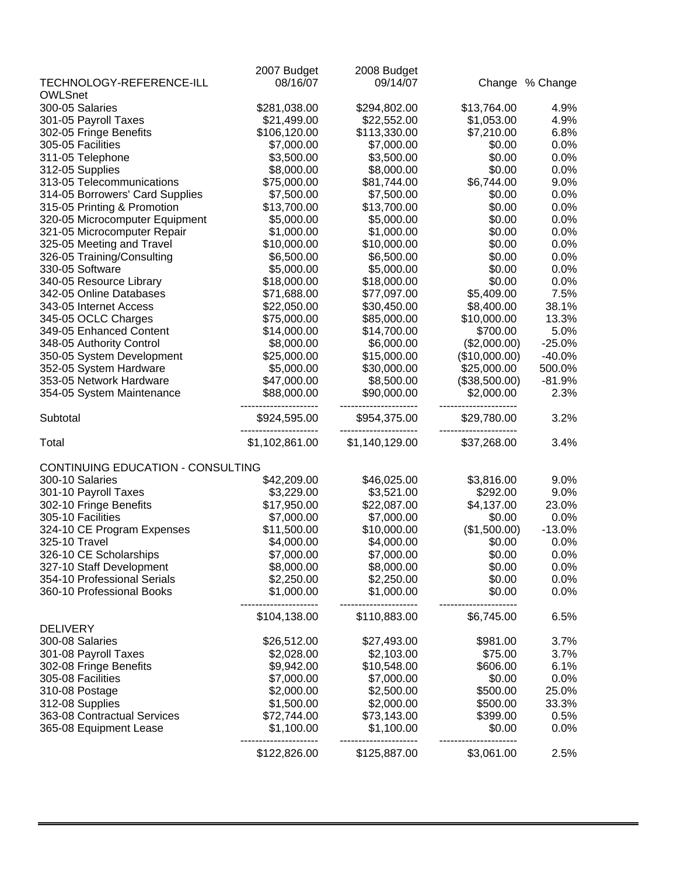|                                                       | 2007 Budget               | 2008 Budget               |                      |                 |
|-------------------------------------------------------|---------------------------|---------------------------|----------------------|-----------------|
| TECHNOLOGY-REFERENCE-ILL                              | 08/16/07                  | 09/14/07                  |                      | Change % Change |
| <b>OWLSnet</b>                                        |                           |                           |                      |                 |
| 300-05 Salaries                                       | \$281,038.00              | \$294,802.00              | \$13,764.00          | 4.9%            |
| 301-05 Payroll Taxes                                  | \$21,499.00               | \$22,552.00               | \$1,053.00           | 4.9%            |
| 302-05 Fringe Benefits                                | \$106,120.00              | \$113,330.00              | \$7,210.00<br>\$0.00 | 6.8%<br>0.0%    |
| 305-05 Facilities<br>311-05 Telephone                 | \$7,000.00<br>\$3,500.00  | \$7,000.00<br>\$3,500.00  | \$0.00               | 0.0%            |
| 312-05 Supplies                                       | \$8,000.00                | \$8,000.00                | \$0.00               | 0.0%            |
| 313-05 Telecommunications                             | \$75,000.00               | \$81,744.00               | \$6,744.00           | 9.0%            |
| 314-05 Borrowers' Card Supplies                       | \$7,500.00                | \$7,500.00                | \$0.00               | 0.0%            |
| 315-05 Printing & Promotion                           | \$13,700.00               | \$13,700.00               | \$0.00               | 0.0%            |
| 320-05 Microcomputer Equipment                        | \$5,000.00                | \$5,000.00                | \$0.00               | 0.0%            |
| 321-05 Microcomputer Repair                           | \$1,000.00                | \$1,000.00                | \$0.00               | 0.0%            |
| 325-05 Meeting and Travel                             | \$10,000.00               | \$10,000.00               | \$0.00               | 0.0%            |
| 326-05 Training/Consulting                            | \$6,500.00                | \$6,500.00                | \$0.00               | 0.0%            |
| 330-05 Software                                       | \$5,000.00                | \$5,000.00                | \$0.00               | 0.0%            |
| 340-05 Resource Library                               | \$18,000.00               | \$18,000.00               | \$0.00               | 0.0%            |
| 342-05 Online Databases                               | \$71,688.00               | \$77,097.00               | \$5,409.00           | 7.5%            |
| 343-05 Internet Access                                | \$22,050.00               | \$30,450.00               | \$8,400.00           | 38.1%           |
| 345-05 OCLC Charges                                   | \$75,000.00               | \$85,000.00               | \$10,000.00          | 13.3%           |
| 349-05 Enhanced Content                               | \$14,000.00               | \$14,700.00               | \$700.00             | 5.0%            |
| 348-05 Authority Control                              | \$8,000.00                | \$6,000.00                | (\$2,000.00)         | $-25.0%$        |
| 350-05 System Development                             | \$25,000.00               | \$15,000.00               | (\$10,000.00)        | $-40.0%$        |
| 352-05 System Hardware                                | \$5,000.00                | \$30,000.00               | \$25,000.00          | 500.0%          |
| 353-05 Network Hardware                               | \$47,000.00               | \$8,500.00                | (\$38,500.00)        | $-81.9%$        |
| 354-05 System Maintenance                             | \$88,000.00               | \$90,000.00               | \$2,000.00           | 2.3%            |
| Subtotal                                              | \$924,595.00              | \$954,375.00              | \$29,780.00          | 3.2%            |
| Total                                                 | \$1,102,861.00            | \$1,140,129.00            | \$37,268.00          | 3.4%            |
| CONTINUING EDUCATION - CONSULTING                     |                           |                           |                      |                 |
| 300-10 Salaries                                       | \$42,209.00               | \$46,025.00               | \$3,816.00           | 9.0%            |
| 301-10 Payroll Taxes                                  | \$3,229.00                | \$3,521.00                | \$292.00             | 9.0%            |
| 302-10 Fringe Benefits                                | \$17,950.00               | \$22,087.00               | \$4,137.00           | 23.0%           |
| 305-10 Facilities                                     | \$7,000.00                | \$7,000.00                | \$0.00               | 0.0%            |
| 324-10 CE Program Expenses                            | \$11,500.00               | \$10,000.00               | (\$1,500.00)         | $-13.0%$        |
| 325-10 Travel                                         | \$4,000.00                | \$4,000.00                | \$0.00               | 0.0%            |
| 326-10 CE Scholarships                                | \$7,000.00                | \$7,000.00                | \$0.00               | $0.0\%$         |
| 327-10 Staff Development                              | \$8,000.00                | \$8,000.00                | \$0.00               | 0.0%            |
| 354-10 Professional Serials                           | \$2,250.00                | \$2,250.00                | \$0.00               | 0.0%            |
| 360-10 Professional Books                             | \$1,000.00                | \$1,000.00                | \$0.00               | 0.0%            |
|                                                       | \$104,138.00              | \$110,883.00              | \$6,745.00           | 6.5%            |
| <b>DELIVERY</b>                                       |                           |                           |                      |                 |
| 300-08 Salaries                                       | \$26,512.00               | \$27,493.00               | \$981.00             | 3.7%            |
| 301-08 Payroll Taxes                                  | \$2,028.00                | \$2,103.00                | \$75.00              | 3.7%            |
| 302-08 Fringe Benefits                                | \$9,942.00                | \$10,548.00               | \$606.00             | 6.1%            |
| 305-08 Facilities                                     | \$7,000.00                | \$7,000.00                | \$0.00<br>\$500.00   | 0.0%<br>25.0%   |
| 310-08 Postage                                        | \$2,000.00                | \$2,500.00                |                      |                 |
| 312-08 Supplies                                       | \$1,500.00<br>\$72,744.00 | \$2,000.00<br>\$73,143.00 | \$500.00<br>\$399.00 | 33.3%<br>0.5%   |
| 363-08 Contractual Services<br>365-08 Equipment Lease | \$1,100.00                | \$1,100.00                | \$0.00               | 0.0%            |
|                                                       | \$122,826.00              | \$125,887.00              | \$3,061.00           | 2.5%            |
|                                                       |                           |                           |                      |                 |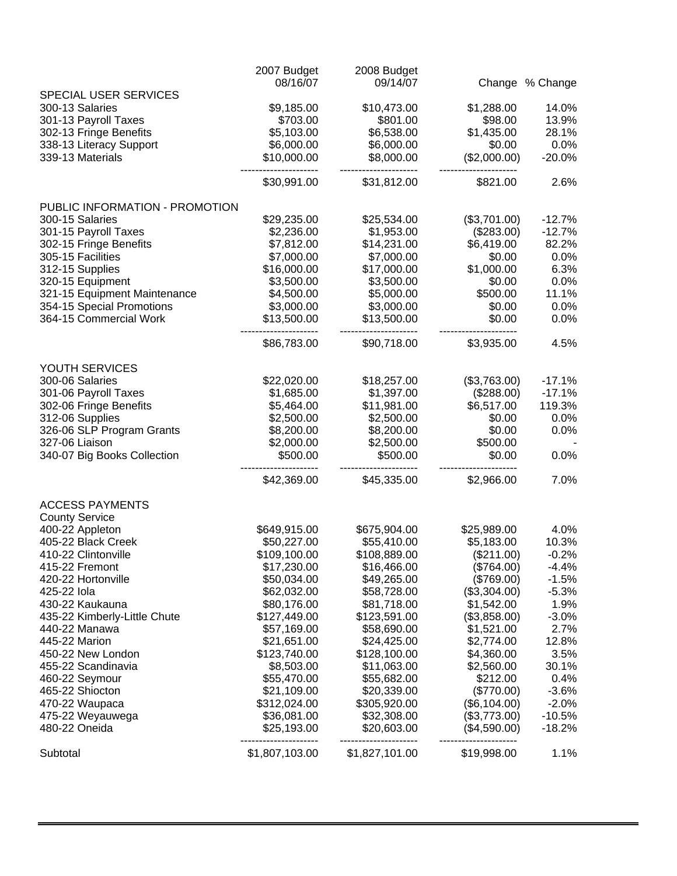|                                                | 2007 Budget            | 2008 Budget             |                       |                 |
|------------------------------------------------|------------------------|-------------------------|-----------------------|-----------------|
|                                                | 08/16/07               | 09/14/07                |                       | Change % Change |
| SPECIAL USER SERVICES                          |                        |                         |                       |                 |
| 300-13 Salaries                                | \$9,185.00             | \$10,473.00<br>\$801.00 | \$1,288.00            | 14.0%<br>13.9%  |
| 301-13 Payroll Taxes<br>302-13 Fringe Benefits | \$703.00<br>\$5,103.00 | \$6,538.00              | \$98.00<br>\$1,435.00 | 28.1%           |
| 338-13 Literacy Support                        | \$6,000.00             | \$6,000.00              | \$0.00                | 0.0%            |
| 339-13 Materials                               | \$10,000.00            | \$8,000.00              | (\$2,000.00)          | $-20.0%$        |
|                                                |                        |                         | ----------            |                 |
|                                                | \$30,991.00            | \$31,812.00             | \$821.00              | 2.6%            |
| PUBLIC INFORMATION - PROMOTION                 |                        |                         |                       |                 |
| 300-15 Salaries                                | \$29,235.00            | \$25,534.00             | (\$3,701.00)          | $-12.7%$        |
| 301-15 Payroll Taxes                           | \$2,236.00             | \$1,953.00              | (\$283.00)            | $-12.7%$        |
| 302-15 Fringe Benefits                         | \$7,812.00             | \$14,231.00             | \$6,419.00            | 82.2%           |
| 305-15 Facilities                              | \$7,000.00             | \$7,000.00              | \$0.00                | 0.0%            |
| 312-15 Supplies                                | \$16,000.00            | \$17,000.00             | \$1,000.00            | 6.3%            |
| 320-15 Equipment                               | \$3,500.00             | \$3,500.00              | \$0.00                | 0.0%            |
| 321-15 Equipment Maintenance                   | \$4,500.00             | \$5,000.00              | \$500.00              | 11.1%           |
| 354-15 Special Promotions                      | \$3,000.00             | \$3,000.00              | \$0.00                | 0.0%            |
| 364-15 Commercial Work                         | \$13,500.00            | \$13,500.00             | \$0.00                | 0.0%            |
|                                                | \$86,783.00            | \$90,718.00             | \$3,935.00            | 4.5%            |
| YOUTH SERVICES                                 |                        |                         |                       |                 |
| 300-06 Salaries                                | \$22,020.00            | \$18,257.00             | (\$3,763.00)          | $-17.1%$        |
| 301-06 Payroll Taxes                           | \$1,685.00             | \$1,397.00              | (\$288.00)            | $-17.1%$        |
| 302-06 Fringe Benefits                         | \$5,464.00             | \$11,981.00             | \$6,517.00            | 119.3%          |
| 312-06 Supplies                                | \$2,500.00             | \$2,500.00              | \$0.00                | 0.0%            |
| 326-06 SLP Program Grants                      | \$8,200.00             | \$8,200.00              | \$0.00                | 0.0%            |
| 327-06 Liaison                                 | \$2,000.00             | \$2,500.00              | \$500.00              |                 |
| 340-07 Big Books Collection                    | \$500.00               | \$500.00                | \$0.00                | 0.0%            |
|                                                | \$42,369.00            | \$45,335.00             | \$2,966.00            | 7.0%            |
| <b>ACCESS PAYMENTS</b>                         |                        |                         |                       |                 |
| <b>County Service</b>                          |                        |                         |                       |                 |
| 400-22 Appleton                                | \$649,915.00           | \$675,904.00            | \$25,989.00           | 4.0%            |
| 405-22 Black Creek                             | \$50,227.00            | \$55,410.00             | \$5,183.00            | 10.3%           |
| 410-22 Clintonville                            | \$109,100.00           | \$108,889.00            | (\$211.00)            | $-0.2%$         |
| 415-22 Fremont                                 | \$17,230.00            | \$16,466.00             | (\$764.00)            | $-4.4%$         |
| 420-22 Hortonville                             | \$50,034.00            | \$49,265.00             | (\$769.00)            | $-1.5%$         |
| 425-22 lola                                    | \$62,032.00            | \$58,728.00             | (\$3,304.00)          | $-5.3%$         |
| 430-22 Kaukauna                                | \$80,176.00            | \$81,718.00             | \$1,542.00            | 1.9%            |
| 435-22 Kimberly-Little Chute                   | \$127,449.00           | \$123,591.00            | (\$3,858.00)          | $-3.0%$         |
| 440-22 Manawa                                  | \$57,169.00            | \$58,690.00             | \$1,521.00            | 2.7%            |
| 445-22 Marion                                  | \$21,651.00            | \$24,425.00             | \$2,774.00            | 12.8%           |
| 450-22 New London                              | \$123,740.00           | \$128,100.00            | \$4,360.00            | 3.5%            |
| 455-22 Scandinavia                             | \$8,503.00             | \$11,063.00             | \$2,560.00            | 30.1%           |
| 460-22 Seymour                                 | \$55,470.00            | \$55,682.00             | \$212.00              | 0.4%            |
| 465-22 Shiocton                                | \$21,109.00            | \$20,339.00             | (\$770.00)            | $-3.6%$         |
| 470-22 Waupaca                                 | \$312,024.00           | \$305,920.00            | (\$6,104.00)          | $-2.0%$         |
| 475-22 Weyauwega                               | \$36,081.00            | \$32,308.00             | (\$3,773.00)          | $-10.5%$        |
| 480-22 Oneida                                  | \$25,193.00            | \$20,603.00             | (\$4,590.00)          | $-18.2%$        |
| Subtotal                                       | \$1,807,103.00         | \$1,827,101.00          | \$19,998.00           | 1.1%            |